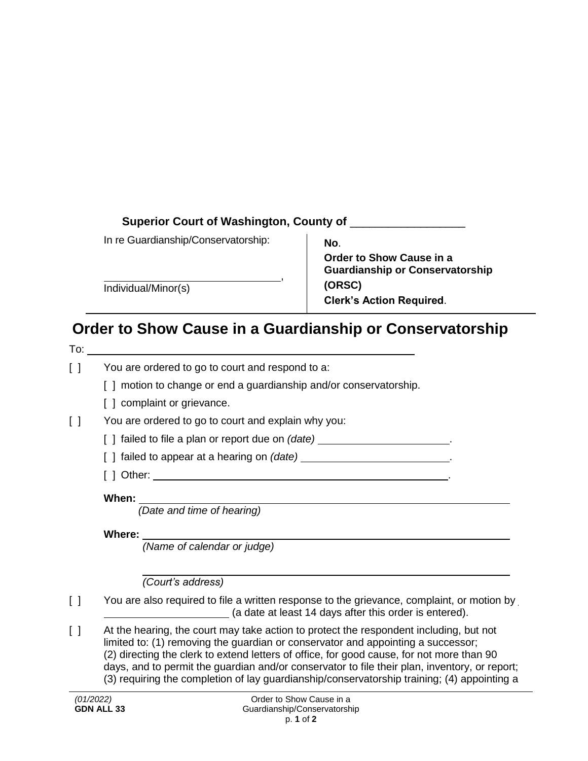## **Superior Court of Washington, County of** \_\_\_\_\_\_\_\_\_\_\_\_\_\_\_\_\_\_

In re Guardianship/Conservatorship:

**No**.

**Order to Show Cause in a Guardianship or Conservatorship (ORSC) Clerk's Action Required**.

Individual/Minor(s)

# **Order to Show Cause in a Guardianship or Conservatorship**

,

#### To:

[] You are ordered to go to court and respond to a:

- [ ] motion to change or end a guardianship and/or conservatorship.
- [ ] complaint or grievance.
- [ ] You are ordered to go to court and explain why you:
	- [ ] failed to file a plan or report due on  $(date)$  \_\_\_\_\_\_\_\_\_\_\_\_\_\_\_\_\_\_\_\_\_\_\_.
	- [ ] failed to appear at a hearing on *(date)* <u>in the summan set of proper</u>
	- [ ] Other: .

## **When:**

*(Date and time of hearing)*

## **Where:**

*(Name of calendar or judge)*

*(Court's address)*

- [ ] You are also required to file a written response to the grievance, complaint, or motion by (a date at least 14 days after this order is entered).
- [ ] At the hearing, the court may take action to protect the respondent including, but not limited to: (1) removing the guardian or conservator and appointing a successor; (2) directing the clerk to extend letters of office, for good cause, for not more than 90 days, and to permit the guardian and/or conservator to file their plan, inventory, or report; (3) requiring the completion of lay guardianship/conservatorship training; (4) appointing a